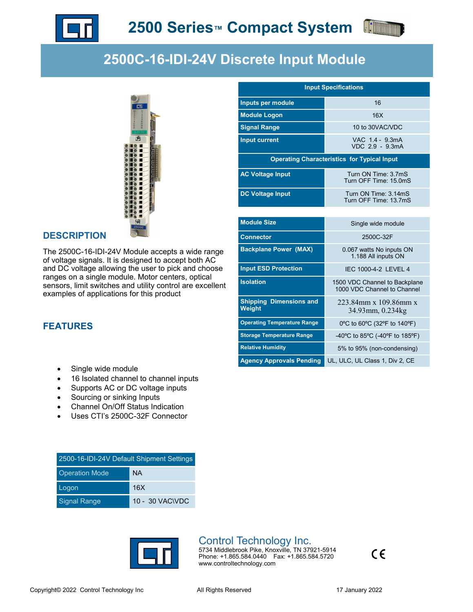



VDC 2.9 - 9.3mA

Turn OFF Time: 15.0mS

Turn OFF Time: 13.7mS

1.188 All inputs ON

1000 VDC Channel to Channel

223.84mm x 109.86mm x 34.93mm, 0.234kg

**Input Specifications**

**Operating Characteristics for Typical Input**

**Inputs per module 16 16 Module Logon** 16X

**Signal Range 10 to 30VAC/VDC Input current** VAC 1.4 - 9.3mA

**AC Voltage Input TURE TURE** Turn ON Time: 3.7mS

**DC Voltage Input Turn ON Time: 3.14mS** 

**Module Size** Single wide module **Connector** 2500C-32F

**Backplane Power (MAX)** 0.067 watts No inputs ON

**Input ESD Protection IEC 1000-4-2 LEVEL 4 Isolation 1500 VDC Channel to Backplane** 

**Operating Temperature Range** 0ºC to 60ºC (32ºF to 140ºF) Storage Temperature Range **40°C** to 85°C (-40°F to 185°F) **Relative Humidity** 5% to 95% (non-condensing) Agency Approvals Pending UL, ULC, UL Class 1, Div 2, CE

**Shipping Dimensions and** 

**Weight**

# **2500C-16-IDI-24V Discrete Input Module**



#### **DESCRIPTION**

The 2500C-16-IDI-24V Module accepts a wide range of voltage signals. It is designed to accept both AC and DC voltage allowing the user to pick and choose ranges on a single module. Motor centers, optical sensors, limit switches and utility control are excellent examples of applications for this product

**FEATURES**

- Single wide module
- 16 Isolated channel to channel inputs
- Supports AC or DC voltage inputs
- Sourcing or sinking Inputs
- Channel On/Off Status Indication
- Uses CTI's 2500C-32F Connector

| 2500-16-IDI-24V Default Shipment Settings |                 |  |  |
|-------------------------------------------|-----------------|--|--|
| <b>Operation Mode</b>                     | <b>NA</b>       |  |  |
| Logon                                     | 16X             |  |  |
| <b>Signal Range</b>                       | 10 - 30 VAC\VDC |  |  |



## Control Technology Inc.

5734 Middlebrook Pike, Knoxville, TN 37921-5914 Phone: +1.865.584.0440 Fax: +1.865.584.5720 www.controltechnology.com